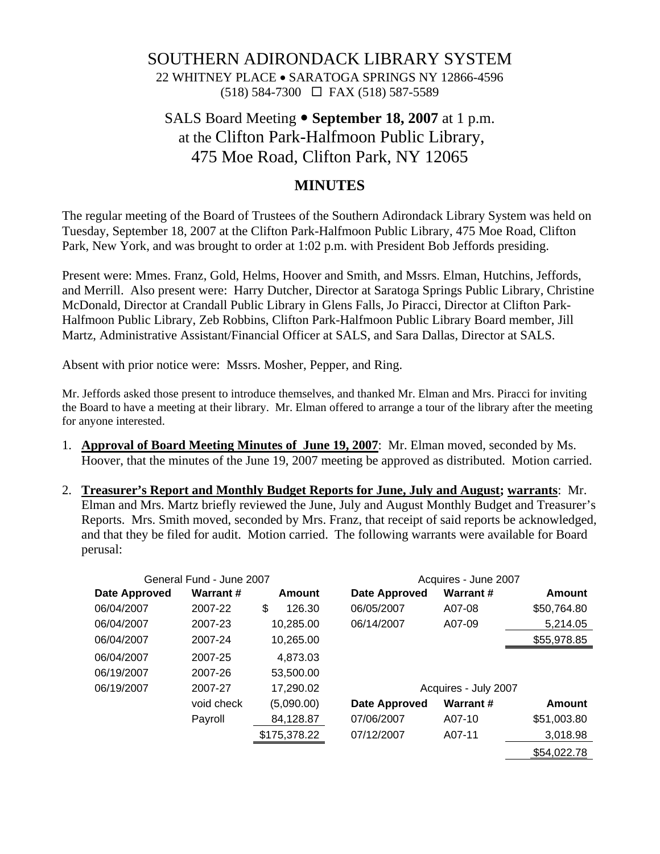## SOUTHERN ADIRONDACK LIBRARY SYSTEM

22 WHITNEY PLACE • SARATOGA SPRINGS NY 12866-4596 (518) 584-7300 FAX (518) 587-5589

# SALS Board Meeting • September 18, 2007 at 1 p.m. at the Clifton Park-Halfmoon Public Library, 475 Moe Road, Clifton Park, NY 12065

### **MINUTES**

The regular meeting of the Board of Trustees of the Southern Adirondack Library System was held on Tuesday, September 18, 2007 at the Clifton Park-Halfmoon Public Library, 475 Moe Road, Clifton Park, New York, and was brought to order at 1:02 p.m. with President Bob Jeffords presiding.

Present were: Mmes. Franz, Gold, Helms, Hoover and Smith, and Mssrs. Elman, Hutchins, Jeffords, and Merrill. Also present were: Harry Dutcher, Director at Saratoga Springs Public Library, Christine McDonald, Director at Crandall Public Library in Glens Falls, Jo Piracci, Director at Clifton Park-Halfmoon Public Library, Zeb Robbins, Clifton Park-Halfmoon Public Library Board member, Jill Martz, Administrative Assistant/Financial Officer at SALS, and Sara Dallas, Director at SALS.

Absent with prior notice were: Mssrs. Mosher, Pepper, and Ring.

Mr. Jeffords asked those present to introduce themselves, and thanked Mr. Elman and Mrs. Piracci for inviting the Board to have a meeting at their library. Mr. Elman offered to arrange a tour of the library after the meeting for anyone interested.

- 1. **Approval of Board Meeting Minutes of June 19, 2007**: Mr. Elman moved, seconded by Ms. Hoover, that the minutes of the June 19, 2007 meeting be approved as distributed. Motion carried.
- 2. **Treasurer's Report and Monthly Budget Reports for June, July and August; warrants**: Mr. Elman and Mrs. Martz briefly reviewed the June, July and August Monthly Budget and Treasurer's Reports. Mrs. Smith moved, seconded by Mrs. Franz, that receipt of said reports be acknowledged, and that they be filed for audit. Motion carried. The following warrants were available for Board perusal:

|                      | General Fund - June 2007 |              |                      | Acquires - June 2007 |             |  |  |  |
|----------------------|--------------------------|--------------|----------------------|----------------------|-------------|--|--|--|
| <b>Date Approved</b> | <b>Warrant#</b>          | Amount       | <b>Date Approved</b> | <b>Warrant#</b>      | Amount      |  |  |  |
| 06/04/2007           | 2007-22                  | \$<br>126.30 | 06/05/2007           | A07-08               | \$50,764.80 |  |  |  |
| 06/04/2007           | 2007-23                  | 10,285.00    | 06/14/2007           | A07-09               | 5,214.05    |  |  |  |
| 06/04/2007           | 2007-24                  | 10,265.00    |                      |                      | \$55,978.85 |  |  |  |
| 06/04/2007           | 2007-25                  | 4.873.03     |                      |                      |             |  |  |  |
| 06/19/2007           | 2007-26                  | 53,500.00    |                      |                      |             |  |  |  |
| 06/19/2007           | 2007-27                  | 17,290.02    | Acquires - July 2007 |                      |             |  |  |  |
|                      | void check               | (5,090.00)   | <b>Date Approved</b> | <b>Warrant#</b>      | Amount      |  |  |  |
|                      | Payroll                  | 84,128.87    | 07/06/2007           | A07-10               | \$51,003.80 |  |  |  |
|                      |                          | \$175,378.22 | 07/12/2007           | A07-11               | 3,018.98    |  |  |  |
|                      |                          |              |                      |                      | \$54,022.78 |  |  |  |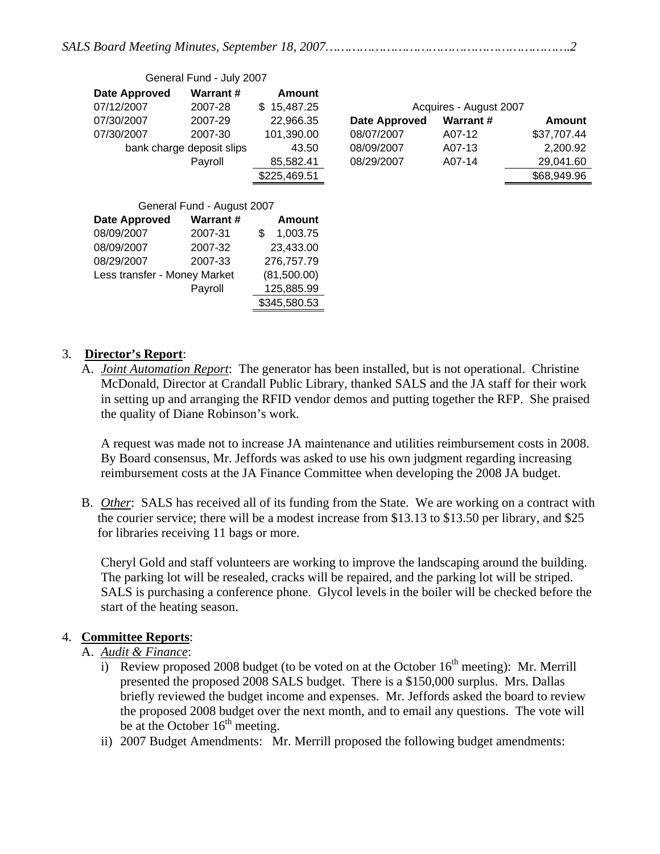|--|--|--|

| General Fund - July 2007     |                           |                 |                      |                        |             |
|------------------------------|---------------------------|-----------------|----------------------|------------------------|-------------|
| <b>Date Approved</b>         | <b>Warrant#</b>           | Amount          |                      |                        |             |
| 07/12/2007                   | 2007-28                   | 15,487.25<br>S. |                      | Acquires - August 2007 |             |
| 07/30/2007                   | 2007-29                   | 22,966.35       | <b>Date Approved</b> | <b>Warrant#</b>        | Amount      |
| 07/30/2007                   | 2007-30                   | 101,390.00      | 08/07/2007           | A07-12                 | \$37,707.44 |
|                              | bank charge deposit slips | 43.50           | 08/09/2007           | A07-13                 | 2,200.92    |
|                              | Payroll                   | 85,582.41       | 08/29/2007           | A07-14                 | 29,041.60   |
|                              |                           | \$225,469.51    |                      |                        | \$68,949.96 |
|                              |                           |                 |                      |                        |             |
| General Fund - August 2007   |                           |                 |                      |                        |             |
| <b>Date Approved</b>         | <b>Warrant#</b>           | Amount          |                      |                        |             |
| 08/09/2007                   | 2007-31                   | \$<br>1,003.75  |                      |                        |             |
| 08/09/2007                   | 2007-32                   | 23,433.00       |                      |                        |             |
| 08/29/2007                   | 2007-33                   | 276,757.79      |                      |                        |             |
| Less transfer - Money Market |                           | (81,500.00)     |                      |                        |             |
|                              | Payroll                   | 125,885.99      |                      |                        |             |
|                              |                           | \$345,580.53    |                      |                        |             |

#### 3. **Director's Report**:

A. *Joint Automation Report*: The generator has been installed, but is not operational. Christine McDonald, Director at Crandall Public Library, thanked SALS and the JA staff for their work in setting up and arranging the RFID vendor demos and putting together the RFP. She praised the quality of Diane Robinson's work.

A request was made not to increase JA maintenance and utilities reimbursement costs in 2008. By Board consensus, Mr. Jeffords was asked to use his own judgment regarding increasing reimbursement costs at the JA Finance Committee when developing the 2008 JA budget.

B. *Other*: SALS has received all of its funding from the State. We are working on a contract with the courier service; there will be a modest increase from \$13.13 to \$13.50 per library, and \$25 for libraries receiving 11 bags or more.

Cheryl Gold and staff volunteers are working to improve the landscaping around the building. The parking lot will be resealed, cracks will be repaired, and the parking lot will be striped. SALS is purchasing a conference phone. Glycol levels in the boiler will be checked before the start of the heating season.

### 4. **Committee Reports**:

### A. *Audit & Finance*:

- i) Review proposed 2008 budget (to be voted on at the October  $16<sup>th</sup>$  meeting): Mr. Merrill presented the proposed 2008 SALS budget. There is a \$150,000 surplus. Mrs. Dallas briefly reviewed the budget income and expenses. Mr. Jeffords asked the board to review the proposed 2008 budget over the next month, and to email any questions. The vote will be at the October  $16<sup>th</sup>$  meeting.
- ii) 2007 Budget Amendments: Mr. Merrill proposed the following budget amendments: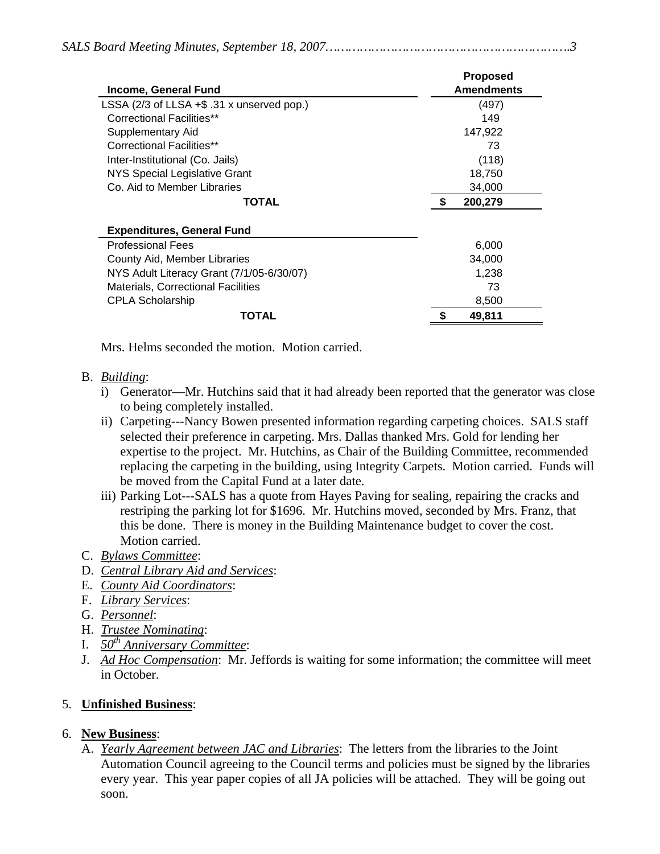|                                            | <b>Proposed</b>   |
|--------------------------------------------|-------------------|
| <b>Income, General Fund</b>                | <b>Amendments</b> |
| LSSA (2/3 of LLSA +\$ .31 x unserved pop.) | (497)             |
| <b>Correctional Facilities**</b>           | 149               |
| Supplementary Aid                          | 147,922           |
| Correctional Facilities**                  | 73                |
| Inter-Institutional (Co. Jails)            | (118)             |
| NYS Special Legislative Grant              | 18,750            |
| Co. Aid to Member Libraries                | 34,000            |
| TOTAL                                      | 200,279           |
| <b>Expenditures, General Fund</b>          |                   |
| <b>Professional Fees</b>                   | 6,000             |
| County Aid, Member Libraries               | 34,000            |
| NYS Adult Literacy Grant (7/1/05-6/30/07)  | 1,238             |
| <b>Materials, Correctional Facilities</b>  | 73                |
| <b>CPLA Scholarship</b>                    | 8,500             |
| TOTAL                                      | 49,811            |

Mrs. Helms seconded the motion. Motion carried.

#### B. *Building*:

- i) Generator—Mr. Hutchins said that it had already been reported that the generator was close to being completely installed.
- ii) Carpeting---Nancy Bowen presented information regarding carpeting choices. SALS staff selected their preference in carpeting. Mrs. Dallas thanked Mrs. Gold for lending her expertise to the project. Mr. Hutchins, as Chair of the Building Committee, recommended replacing the carpeting in the building, using Integrity Carpets. Motion carried. Funds will be moved from the Capital Fund at a later date.
- iii) Parking Lot---SALS has a quote from Hayes Paving for sealing, repairing the cracks and restriping the parking lot for \$1696. Mr. Hutchins moved, seconded by Mrs. Franz, that this be done. There is money in the Building Maintenance budget to cover the cost. Motion carried.
- C. *Bylaws Committee*:
- D. *Central Library Aid and Services*:
- E. *County Aid Coordinators*:
- F. *Library Services*:
- G. *Personnel*:
- H. *Trustee Nominating*:
- I. *50th Anniversary Committee*:
- J. *Ad Hoc Compensation*: Mr. Jeffords is waiting for some information; the committee will meet in October.

### 5. **Unfinished Business**:

### 6. **New Business**:

A. *Yearly Agreement between JAC and Libraries*: The letters from the libraries to the Joint Automation Council agreeing to the Council terms and policies must be signed by the libraries every year. This year paper copies of all JA policies will be attached. They will be going out soon.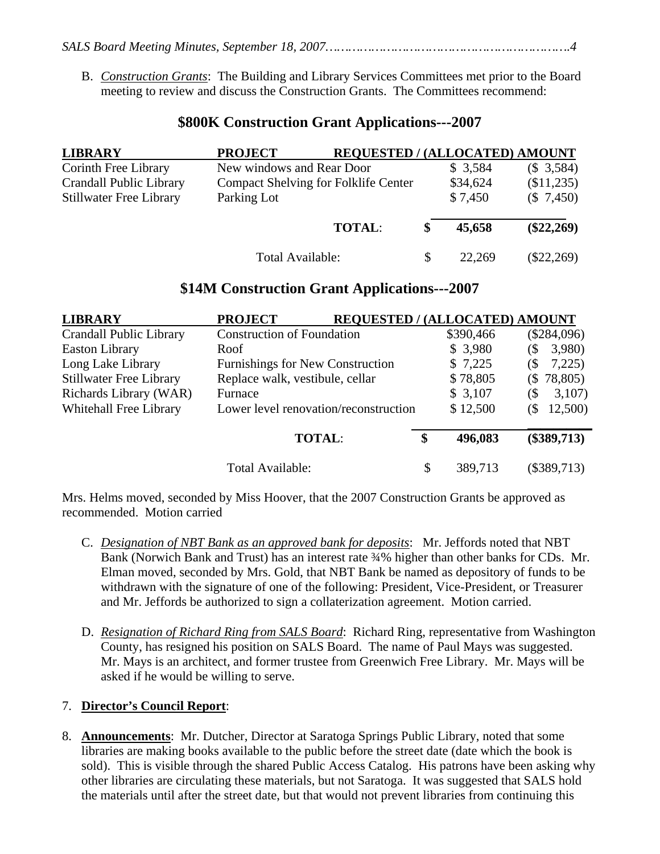- *SALS Board Meeting Minutes, September 18, 2007……………………………………………………….4* 
	- B. *Construction Grants*: The Building and Library Services Committees met prior to the Board meeting to review and discuss the Construction Grants. The Committees recommend:

### **\$800K Construction Grant Applications---2007**

| <b>LIBRARY</b>                 | <b>PROJECT</b>                       | <b>REQUESTED / (ALLOCATED) AMOUNT</b> |              |
|--------------------------------|--------------------------------------|---------------------------------------|--------------|
| Corinth Free Library           | New windows and Rear Door            | \$3,584                               | (\$3,584)    |
| <b>Crandall Public Library</b> | Compact Shelving for Folklife Center | \$34,624                              | (\$11,235)   |
| <b>Stillwater Free Library</b> | Parking Lot                          | \$7,450                               | (\$7,450)    |
|                                | <b>TOTAL:</b>                        | 45,658                                | $(\$22,269)$ |
|                                | Total Available:                     | 22.269                                | $(\$22,269)$ |

### **\$14M Construction Grant Applications---2007**

| <b>LIBRARY</b>                                                  | <b>PROJECT</b><br><b>REQUESTED / (ALLOCATED) AMOUNT</b> |    |           |                              |
|-----------------------------------------------------------------|---------------------------------------------------------|----|-----------|------------------------------|
| <b>Crandall Public Library</b>                                  | <b>Construction of Foundation</b>                       |    | \$390,466 | $(\$284,096)$                |
| <b>Easton Library</b>                                           | Roof                                                    |    | \$3,980   | 3,980)<br>(\$                |
| Long Lake Library                                               | <b>Furnishings for New Construction</b>                 |    | \$7,225   | 7,225<br>$\left( \S \right)$ |
| <b>Stillwater Free Library</b>                                  | Replace walk, vestibule, cellar                         |    | \$78,805  | $(\$ 78,805)$                |
| Richards Library (WAR)                                          | Furnace                                                 |    | \$3,107   | 3,107<br>$\Im$               |
| Whitehall Free Library<br>Lower level renovation/reconstruction |                                                         |    | \$12,500  | 12,500)<br>(\$               |
|                                                                 | <b>TOTAL:</b>                                           | S  | 496,083   | $(\$389,713)$                |
|                                                                 | Total Available:                                        | \$ | 389,713   | $(\$389,713)$                |

Mrs. Helms moved, seconded by Miss Hoover, that the 2007 Construction Grants be approved as recommended. Motion carried

- C. *Designation of NBT Bank as an approved bank for deposits*: Mr. Jeffords noted that NBT Bank (Norwich Bank and Trust) has an interest rate  $\frac{3}{4}$ % higher than other banks for CDs. Mr. Elman moved, seconded by Mrs. Gold, that NBT Bank be named as depository of funds to be withdrawn with the signature of one of the following: President, Vice-President, or Treasurer and Mr. Jeffords be authorized to sign a collaterization agreement. Motion carried.
- D. *Resignation of Richard Ring from SALS Board*: Richard Ring, representative from Washington County, has resigned his position on SALS Board. The name of Paul Mays was suggested. Mr. Mays is an architect, and former trustee from Greenwich Free Library. Mr. Mays will be asked if he would be willing to serve.

### 7. **Director's Council Report**:

8. **Announcements**: Mr. Dutcher, Director at Saratoga Springs Public Library, noted that some libraries are making books available to the public before the street date (date which the book is sold). This is visible through the shared Public Access Catalog. His patrons have been asking why other libraries are circulating these materials, but not Saratoga. It was suggested that SALS hold the materials until after the street date, but that would not prevent libraries from continuing this